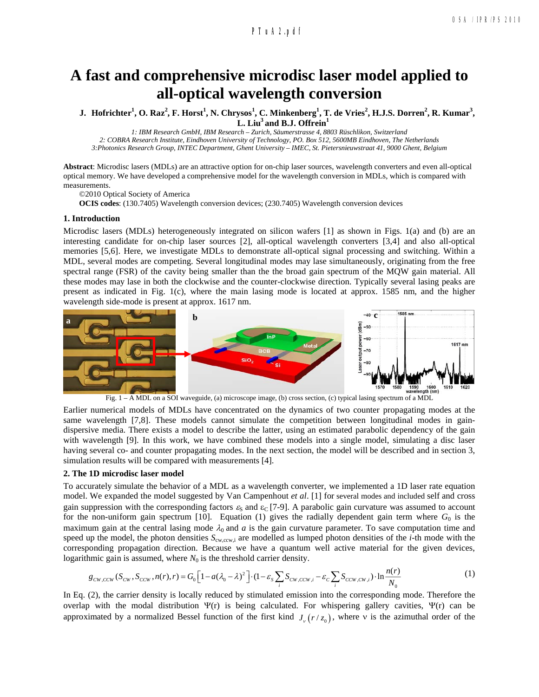## **a160\_1.pdf PTuA2.pdf**

# **A fast and comprehensive microdisc laser model applied to all-optical wavelength conversion**

J. Hofrichter<sup>1</sup>, O. Raz<sup>2</sup>, F. Horst<sup>1</sup>, N. Chrysos<sup>1</sup>, C. Minkenberg<sup>1</sup>, T. de Vries<sup>2</sup>, H.J.S. Dorren<sup>2</sup>, R. Kumar<sup>3</sup>, L. Liu<sup>3</sup> and B.J. Offrein<sup>1</sup>

*1: IBM Research GmbH, IBM Research – Zurich, Säumerstrasse 4, 8803 Rüschlikon, Switzerland 2: COBRA Research Institute, Eindhoven University of Technology, PO. Box 512, 5600MB Eindhoven, The Netherlands 3:Photonics Research Group, INTEC Department, Ghent University – IMEC, St. Pietersnieuwstraat 41, 9000 Ghent, Belgium*

**Abstract**: Microdisc lasers (MDLs) are an attractive option for on-chip laser sources, wavelength converters and even all-optical optical memory. We have developed a comprehensive model for the wavelength conversion in MDLs, which is compared with measurements.

©2010 Optical Society of America

**OCIS codes**: (130.7405) Wavelength conversion devices; (230.7405) Wavelength conversion devices

#### **1. Introduction**

Microdisc lasers (MDLs) heterogeneously integrated on silicon wafers [1] as shown in Figs. 1(a) and (b) are an interesting candidate for on-chip laser sources [2], all-optical wavelength converters [3,4] and also all-optical memories [5,6]. Here, we investigate MDLs to demonstrate all-optical signal processing and switching. Within a MDL, several modes are competing. Several longitudinal modes may lase simultaneously, originating from the free spectral range (FSR) of the cavity being smaller than the the broad gain spectrum of the MQW gain material. All these modes may lase in both the clockwise and the counter-clockwise direction. Typically several lasing peaks are present as indicated in Fig. 1(c), where the main lasing mode is located at approx. 1585 nm, and the higher wavelength side-mode is present at approx. 1617 nm.



Earlier numerical models of MDLs have concentrated on the dynamics of two counter propagating modes at the same wavelength [7,8]. These models cannot simulate the competition between longitudinal modes in gaindispersive media. There exists a model to describe the latter, using an estimated parabolic dependency of the gain with wavelength [9]. In this work, we have combined these models into a single model, simulating a disc laser having several co- and counter propagating modes. In the next section, the model will be described and in section 3, simulation results will be compared with measurements [4].

#### **2. The 1D microdisc laser model**

To accurately simulate the behavior of a MDL as a wavelength converter, we implemented a 1D laser rate equation model. We expanded the model suggested by Van Campenhout *et al*. [1] for several modes and included self and cross gain suppression with the corresponding factors  $\varepsilon_s$  and  $\varepsilon_c$  [7-9]. A parabolic gain curvature was assumed to account for the non-uniform gain spectrum [10]. Equation (1) gives the radially dependent gain term where  $G_0$  is the maximum gain at the central lasing mode  $\lambda_0$  and  $a$  is the gain curvature parameter. To save computation time and speed up the model, the photon densities  $S_{\text{cw,cw},i}$  are modelled as lumped photon densities of the *i*-th mode with the corresponding propagation direction. Because we have a quantum well active material for the given devices, logarithmic gain is assumed, where  $N_0$  is the threshold carrier density.

$$
g_{cw,ccw}(S_{cw}, S_{ccw}, n(r), r) = G_0 \left[1 - a(\lambda_0 - \lambda)^2\right] \cdot (1 - \varepsilon_s \sum_i S_{cw,ccw,i} - \varepsilon_c \sum_i S_{ccw,cw,i}) \cdot \ln \frac{n(r)}{N_0}
$$
(1)

In Eq. (2), the carrier density is locally reduced by stimulated emission into the corresponding mode. Therefore the overlap with the modal distribution  $\Psi(r)$  is being calculated. For whispering gallery cavities,  $\Psi(r)$  can be approximated by a normalized Bessel function of the first kind  $J_{\nu}(r/z_0)$ , where v is the azimuthal order of the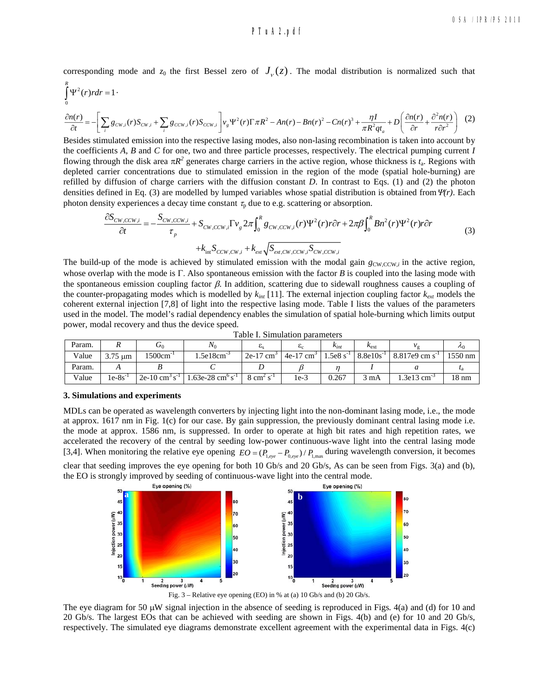## **a160\_1.pdf PTuA2.pdf**

corresponding mode and  $z_0$  the first Bessel zero of  $J_\nu(z)$ . The modal distribution is normalized such that

$$
\int_{0}^{R} \Psi^{2}(r) rdr = 1 \cdot \frac{\partial n(r)}{\partial t} = -\left[\sum_{i} g_{CW,i}(r) S_{CW,i} + \sum_{i} g_{CCW,i}(r) S_{CCW,i}\right] v_{g} \Psi^{2}(r) \Gamma \pi R^{2} - An(r) - Bn(r)^{2} - Cn(r)^{3} + \frac{\eta I}{\pi R^{2} q t_{a}} + D\left(\frac{\partial n(r)}{\partial r} + \frac{\partial^{2} n(r)}{r \partial r^{2}}\right) \tag{2}
$$

Besides stimulated emission into the respective lasing modes, also non-lasing recombination is taken into account by the coefficients *A*, *B* and *C* for one, two and three particle processes, respectively. The electrical pumping current *I* flowing through the disk area  $\pi R^2$  generates charge carriers in the active region, whose thickness is  $t_a$ . Regions with depleted carrier concentrations due to stimulated emission in the region of the mode (spatial hole-burning) are refilled by diffusion of charge carriers with the diffusion constant *D*. In contrast to Eqs. (1) and (2) the photon densities defined in Eq. (3) are modelled by lumped variables whose spatial distribution is obtained from  $\Psi(r)$ . Each photon density experiences a decay time constant  $\tau_p$  due to e.g. scattering or absorption.

$$
\frac{\partial S_{CW,CCW,i}}{\partial t} = -\frac{S_{CW,CCW,i}}{\tau_p} + S_{CW,CCW,i} \Gamma v_g 2\pi \int_0^R g_{CW,CCW,i}(r) \Psi^2(r) r \partial r + 2\pi \beta \int_0^R B n^2(r) \Psi^2(r) r \partial r
$$
\n
$$
+ k_{int} S_{CCW,CW,i} + k_{ext} \sqrt{S_{ext,CW,CCW,i}} S_{CW,CCW,i}
$$
\n(3)

The build-up of the mode is achieved by stimulated emission with the modal gain  $g_{\text{CW,CCW},i}$  in the active region, whose overlap with the mode is  $\Gamma$ . Also spontaneous emission with the factor  $B$  is coupled into the lasing mode with the spontaneous emission coupling factor  $\beta$ . In addition, scattering due to sidewall roughness causes a coupling of the counter-propagating modes which is modelled by  $k_{int}$  [11]. The external injection coupling factor  $k_{ext}$  models the coherent external injection [7,8] of light into the respective lasing mode. Table I lists the values of the parameters used in the model. The model's radial dependency enables the simulation of spatial hole-burning which limits output power, modal recovery and thus the device speed.

| Param. |                            | $\mathbf{U}_0$            | $N_0$                     |                         | ັ                        | $\kappa_{int}$ | $k_{\text{ext}}$ |                           | $\mu_0$         |
|--------|----------------------------|---------------------------|---------------------------|-------------------------|--------------------------|----------------|------------------|---------------------------|-----------------|
| Value  | $3.75 \text{ }\mu\text{m}$ | 1500cm                    | .5e18cm                   | $2e-17$ cm <sup>2</sup> | $4e-17$<br>$\text{cm}^3$ | .5e8s          | $8.8e10s^{-1}$   | 8.817e9 cm s <sup>2</sup> | 1550 nm         |
| Param. |                            |                           |                           |                         |                          |                |                  |                           |                 |
| Value  | $1e-8s$                    | $2e-10$ cm <sup>3</sup> s | $.63e-28$ cm <sup>o</sup> | $8 \text{ cm}^2$        | 1e-3                     | 0.267          | mA               | $.3e13$ cm                | $18 \text{ nm}$ |

| Table I. Simulation parameters |  |
|--------------------------------|--|
|--------------------------------|--|

### **3. Simulations and experiments**

MDLs can be operated as wavelength converters by injecting light into the non-dominant lasing mode, i.e., the mode at approx. 1617 nm in Fig. 1(c) for our case. By gain suppression, the previously dominant central lasing mode i.e. the mode at approx. 1586 nm, is suppressed. In order to operate at high bit rates and high repetition rates, we accelerated the recovery of the central by seeding low-power continuous-wave light into the central lasing mode [3,4]. When monitoring the relative eye opening  $EO = (P_{1,eye} - P_{0,eye}) / P_{1,max}$  during wavelength conversion, it becomes

clear that seeding improves the eye opening for both 10 Gb/s and 20 Gb/s, As can be seen from Figs. 3(a) and (b), the EO is strongly improved by seeding of continuous-wave light into the central mode.



The eye diagram for 50  $\mu$ W signal injection in the absence of seeding is reproduced in Figs. 4(a) and (d) for 10 and 20 Gb/s. The largest EOs that can be achieved with seeding are shown in Figs. 4(b) and (e) for 10 and 20 Gb/s, respectively. The simulated eye diagrams demonstrate excellent agreement with the experimental data in Figs. 4(c)